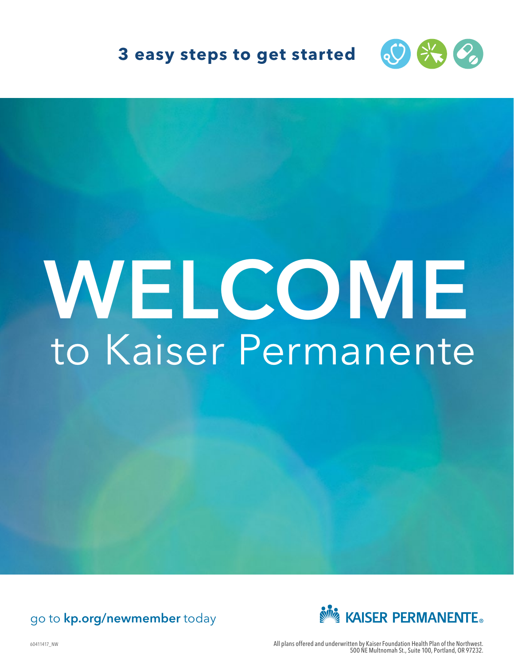

## **3 easy steps to get started**

# WELCOME to Kaiser Permanente

## go to kp.org/newmember today



60411417\_NW All plans offered and underwritten by Kaiser Foundation Health Plan of the Northwest. 500 NE Multnomah St., Suite 100, Portland, OR 97232.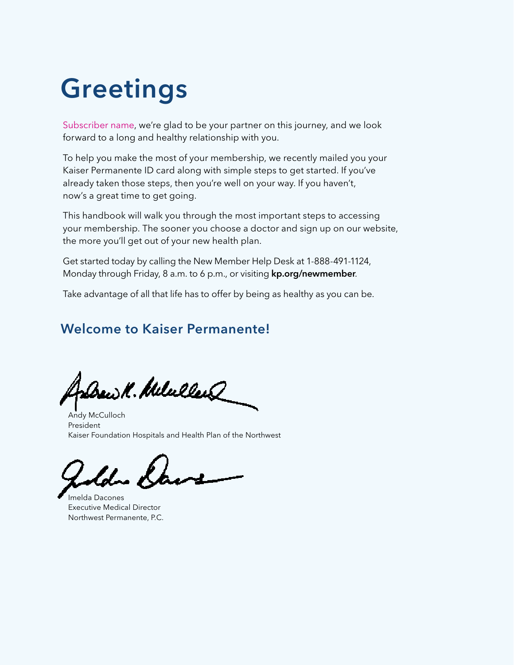## Greetings

Subscriber name, we're glad to be your partner on this journey, and we look forward to a long and healthy relationship with you.

To help you make the most of your membership, we recently mailed you your Kaiser Permanente ID card along with simple steps to get started. If you've already taken those steps, then you're well on your way. If you haven't, now's a great time to get going.

This handbook will walk you through the most important steps to accessing your membership. The sooner you choose a doctor and sign up on our website, the more you'll get out of your new health plan.

Get started today by calling the New Member Help Desk at 1-888-491-1124, Monday through Friday, 8 a.m. to 6 p.m., or visiting kp.org/newmember.

Take advantage of all that life has to offer by being as healthy as you can be.

## Welcome to Kaiser Permanente!

w.V. MelullerQ

Andy McCulloch President Kaiser Foundation Hospitals and Health Plan of the Northwest

Imelda Dacones Executive Medical Director Northwest Permanente, P.C.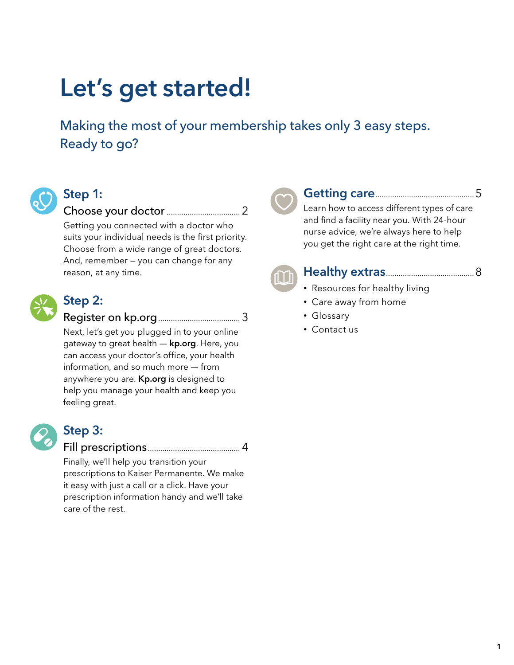## Let's get started!

Making the most of your membership takes only 3 easy steps. Ready to go?



## Step 1:

Choose your doctor................................... 2

Getting you connected with a doctor who suits your individual needs is the first priority. Choose from a wide range of great doctors. And, remember — you can change for any reason, at any time.



## Step 2:

Register on kp.org....................................... 3

Next, let's get you plugged in to your online gateway to great health — kp.org. Here, you can access your doctor's office, your health information, and so much more — from anywhere you are. **Kp.org** is designed to help you manage your health and keep you feeling great.



## Step 3:

Fill prescriptions............................................ 4

Finally, we'll help you transition your prescriptions to Kaiser Permanente. We make it easy with just a call or a click. Have your prescription information handy and we'll take care of the rest.

Getting care...............................................5 Learn how to access different types of care and find a facility near you. With 24-hour nurse advice, we're always here to help you get the right care at the right time.



## Healthy extras..........................................8

- Resources for healthy living
- Care away from home
- Glossary
- Contact us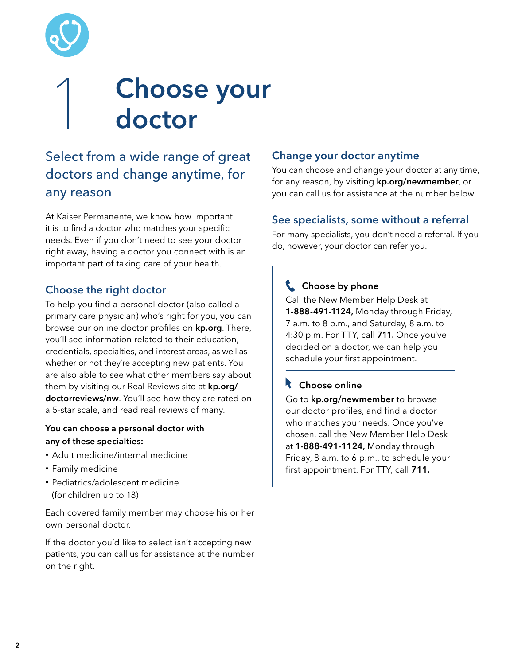

## **Choose your** doctor

## Select from a wide range of great doctors and change anytime, for any reason

At Kaiser Permanente, we know how important it is to find a doctor who matches your specific needs. Even if you don't need to see your doctor right away, having a doctor you connect with is an important part of taking care of your health.

### Choose the right doctor

To help you find a personal doctor (also called a primary care physician) who's right for you, you can browse our online doctor profiles on kp.org. There, you'll see information related to their education, credentials, specialties, and interest areas, as well as whether or not they're accepting new patients. You are also able to see what other members say about them by visiting our Real Reviews site at kp.org/ doctorreviews/nw. You'll see how they are rated on a 5-star scale, and read real reviews of many.

#### You can choose a personal doctor with any of these specialties:

- Adult medicine/internal medicine
- Family medicine
- Pediatrics/adolescent medicine (for children up to 18)

Each covered family member may choose his or her own personal doctor.

If the doctor you'd like to select isn't accepting new patients, you can call us for assistance at the number on the right.

### Change your doctor anytime

You can choose and change your doctor at any time, for any reason, by visiting **kp.org/newmember**, or you can call us for assistance at the number below.

### See specialists, some without a referral

For many specialists, you don't need a referral. If you do, however, your doctor can refer you.

## **Choose by phone**

Call the New Member Help Desk at 1-888-491-1124, Monday through Friday, 7 a.m. to 8 p.m., and Saturday, 8 a.m. to 4:30 p.m. For TTY, call 711. Once you've decided on a doctor, we can help you schedule your first appointment.

## **Choose online**

Go to kp.org/newmember to browse our doctor profiles, and find a doctor who matches your needs. Once you've chosen, call the New Member Help Desk at 1-888-491-1124, Monday through Friday, 8 a.m. to 6 p.m., to schedule your first appointment. For TTY, call 711.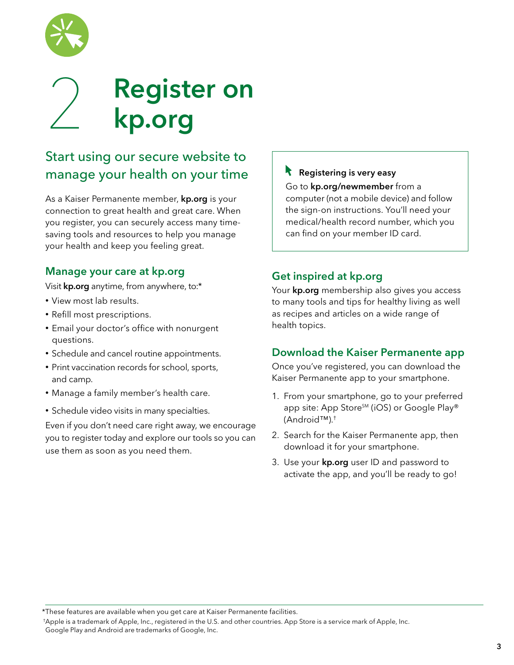

## **Register on** kp.org

## Start using our secure website to manage your health on your time

As a Kaiser Permanente member, **kp.org** is your connection to great health and great care. When you register, you can securely access many timesaving tools and resources to help you manage your health and keep you feeling great.

### Manage your care at kp.org

Visit kp.org anytime, from anywhere, to:\*

- View most lab results.
- Refill most prescriptions.
- Email your doctor's office with nonurgent questions.
- Schedule and cancel routine appointments.
- Print vaccination records for school, sports, and camp.
- Manage a family member's health care.
- Schedule video visits in many specialties.

Even if you don't need care right away, we encourage you to register today and explore our tools so you can use them as soon as you need them.

### **Registering is very easy**

Go to kp.org/newmember from a computer (not a mobile device) and follow the sign-on instructions. You'll need your medical/health record number, which you can find on your member ID card.

### Get inspired at kp.org

Your kp.org membership also gives you access to many tools and tips for healthy living as well as recipes and articles on a wide range of health topics.

#### Download the Kaiser Permanente app

Once you've registered, you can download the Kaiser Permanente app to your smartphone.

- 1. From your smartphone, go to your preferred app site: App Store<sup>SM</sup> (iOS) or Google Play® (Android™).†
- 2. Search for the Kaiser Permanente app, then download it for your smartphone.
- 3. Use your kp.org user ID and password to activate the app, and you'll be ready to go!

\*These features are available when you get care at Kaiser Permanente facilities.

 † Apple is a trademark of Apple, Inc., registered in the U.S. and other countries. App Store is a service mark of Apple, Inc. Google Play and Android are trademarks of Google, Inc.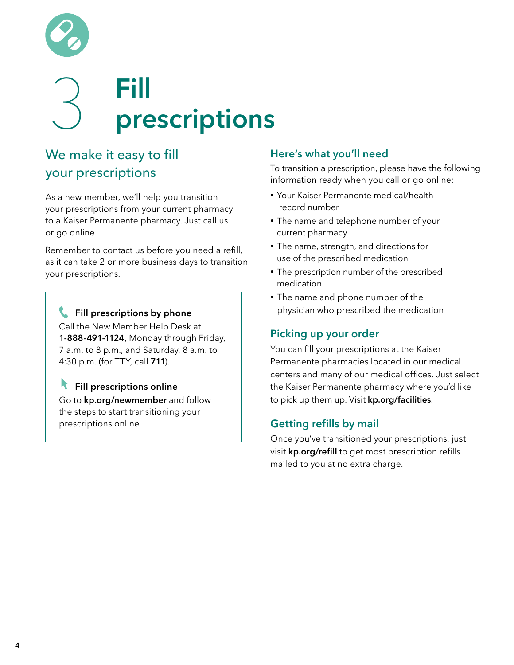

## 3 Fill prescriptions

## We make it easy to fill your prescriptions

As a new member, we'll help you transition your prescriptions from your current pharmacy to a Kaiser Permanente pharmacy. Just call us or go online.

Remember to contact us before you need a refill, as it can take 2 or more business days to transition your prescriptions.

Fill prescriptions by phone Call the New Member Help Desk at 1-888-491-1124, Monday through Friday, 7 a.m. to 8 p.m., and Saturday, 8 a.m. to 4:30 p.m. (for TTY, call 711).

Fill prescriptions online Go to kp.org/newmember and follow the steps to start transitioning your prescriptions online.

### Here's what you'll need

To transition a prescription, please have the following information ready when you call or go online:

- Your Kaiser Permanente medical/health record number
- The name and telephone number of your current pharmacy
- The name, strength, and directions for use of the prescribed medication
- The prescription number of the prescribed medication
- The name and phone number of the physician who prescribed the medication

## Picking up your order

You can fill your prescriptions at the Kaiser Permanente pharmacies located in our medical centers and many of our medical offices. Just select the Kaiser Permanente pharmacy where you'd like to pick up them up. Visit kp.org/facilities.

## Getting refills by mail

Once you've transitioned your prescriptions, just visit kp.org/refill to get most prescription refills mailed to you at no extra charge.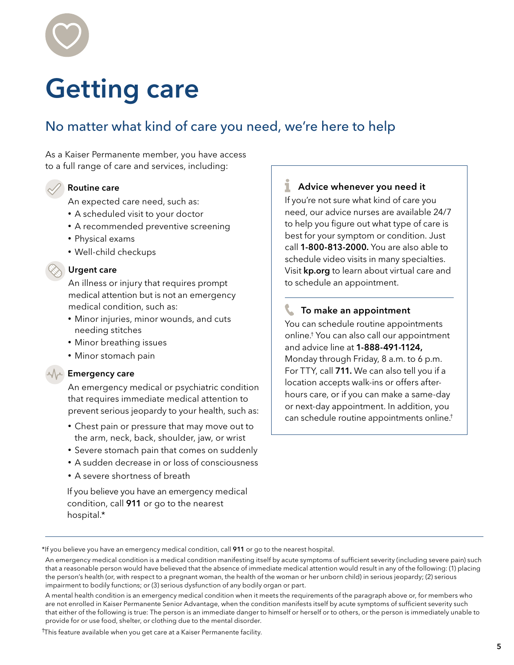

## Getting care

## No matter what kind of care you need, we're here to help

As a Kaiser Permanente member, you have access to a full range of care and services, including:

Routine care An expected care need, such as:

- A scheduled visit to your doctor
- A recommended preventive screening
- Physical exams
- Well-child checkups

#### Urgent care

An illness or injury that requires prompt medical attention but is not an emergency medical condition, such as:

- Minor injuries, minor wounds, and cuts needing stitches
- Minor breathing issues
- Minor stomach pain

#### **Emergency care**

 An emergency medical or psychiatric condition that requires immediate medical attention to prevent serious jeopardy to your health, such as:

- Chest pain or pressure that may move out to the arm, neck, back, shoulder, jaw, or wrist
- Severe stomach pain that comes on suddenly
- A sudden decrease in or loss of consciousness
- A severe shortness of breath

 If you believe you have an emergency medical condition, call 911 or go to the nearest hospital.\*

#### **Advice whenever you need it**

If you're not sure what kind of care you need, our advice nurses are available 24/7 to help you figure out what type of care is best for your symptom or condition. Just call 1-800-813-2000. You are also able to schedule video visits in many specialties. Visit kp.org to learn about virtual care and to schedule an appointment.

#### **To make an appointment**

You can schedule routine appointments online.† You can also call our appointment and advice line at 1-888-491-1124, Monday through Friday, 8 a.m. to 6 p.m. For TTY, call 711. We can also tell you if a location accepts walk-ins or offers afterhours care, or if you can make a same-day or next-day appointment. In addition, you can schedule routine appointments online. †

† This feature available when you get care at a Kaiser Permanente facility.

 <sup>\*</sup>If you believe you have an emergency medical condition, call 911 or go to the nearest hospital.

An emergency medical condition is a medical condition manifesting itself by acute symptoms of sufficient severity (including severe pain) such that a reasonable person would have believed that the absence of immediate medical attention would result in any of the following: (1) placing the person's health (or, with respect to a pregnant woman, the health of the woman or her unborn child) in serious jeopardy; (2) serious impairment to bodily functions; or (3) serious dysfunction of any bodily organ or part.

A mental health condition is an emergency medical condition when it meets the requirements of the paragraph above or, for members who are not enrolled in Kaiser Permanente Senior Advantage, when the condition manifests itself by acute symptoms of sufficient severity such that either of the following is true: The person is an immediate danger to himself or herself or to others, or the person is immediately unable to provide for or use food, shelter, or clothing due to the mental disorder.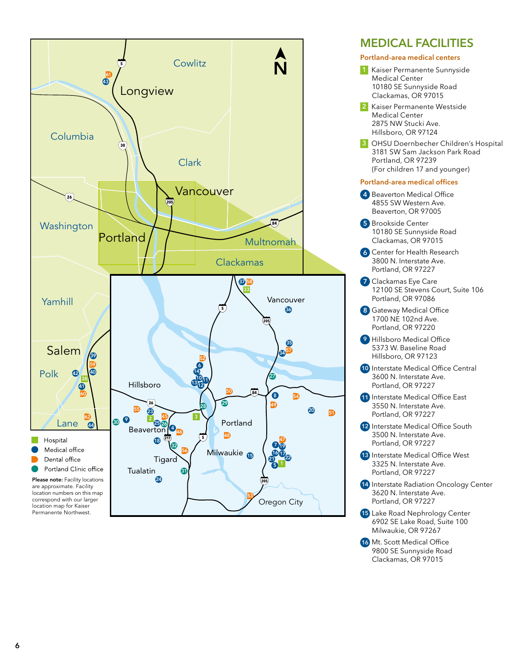

## **MEDICAL FACILITIES**

- **Portland-area medical centers**
- **1** Kaiser Permanente Sunnyside Medical Center 10180 SE Sunnyside Road Clackamas, OR 97015
- **2** Kaiser Permanente Westside Medical Center 2875 NW Stucki Ave. Hillsboro, OR 97124
- **3** OHSU Doernbecher Children's Hospital 3181 SW Sam Jackson Park Road Portland, OR 97239 (For children 17 and younger)

#### **Portland-area medical offices**

- **4** Beaverton Medical Office 4855 SW Western Ave. Beaverton, OR 97005
- **5** Brookside Center 10180 SE Sunnyside Road Clackamas, OR 97015
- **6** Center for Health Research 3800 N. Interstate Ave. Portland, OR 97227
- **7** Clackamas Eye Care 12100 SE Stevens Court, Suite 106 Portland, OR 97086
- **8** Gateway Medical Office 1700 NE 102nd Ave. Portland, OR 97220
- **9** Hillsboro Medical Office 5373 W. Baseline Road Hillsboro, OR 97123
- **10** Interstate Medical Office Central 3600 N. Interstate Ave. Portland, OR 97227
- **11** Interstate Medical Office East 3550 N. Interstate Ave. Portland, OR 97227
- **12** Interstate Medical Office South 3500 N. Interstate Ave. Portland, OR 97227
- **13** Interstate Medical Office West 3325 N. Interstate Ave. Portland, OR 97227
- **14** Interstate Radiation Oncology Center 3620 N. Interstate Ave. Portland, OR 97227
- **15** Lake Road Nephrology Center 6902 SE Lake Road, Suite 100 Milwaukie, OR 97267
- **16** Mt. Scott Medical Office 9800 SE Sunnyside Road Clackamas, OR 97015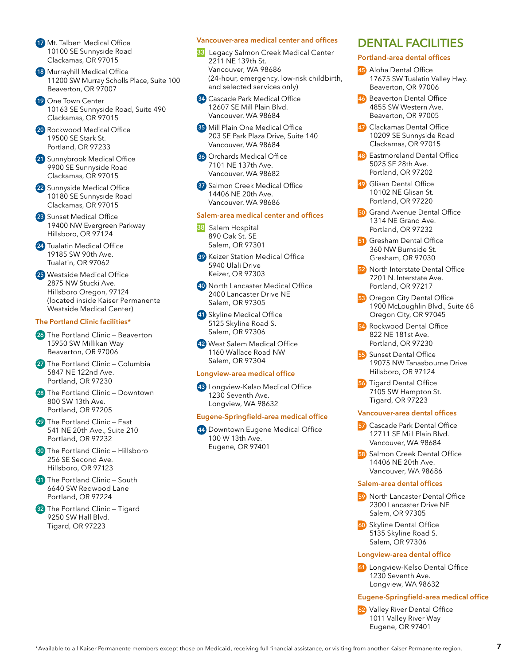- **17** Mt. Talbert Medical Office 10100 SE Sunnyside Road Clackamas, OR 97015
- **18** Murrayhill Medical Office 11200 SW Murray Scholls Place, Suite 100 Beaverton, OR 97007
- **19** One Town Center 10163 SE Sunnyside Road, Suite 490 Clackamas, OR 97015
- **20** Rockwood Medical Office 19500 SE Stark St. Portland, OR 97233
- **21** Sunnybrook Medical Office 9900 SE Sunnyside Road Clackamas, OR 97015
- **22** Sunnyside Medical Office 10180 SE Sunnyside Road Clackamas, OR 97015
- **23** Sunset Medical Office 19400 NW Evergreen Parkway Hillsboro, OR 97124
- **24** Tualatin Medical Office 19185 SW 90th Ave. Tualatin, OR 97062
- **25** Westside Medical Office 2875 NW Stucki Ave. Hillsboro Oregon, 97124 (located inside Kaiser Permanente Westside Medical Center)

#### **The Portland Clinic facilities\***

- **26** The Portland Clinic Beaverton 15950 SW Millikan Way Beaverton, OR 97006
- **27** The Portland Clinic Columbia 5847 NE 122nd Ave. Portland, OR 97230
- **28** The Portland Clinic Downtown 800 SW 13th Ave. Portland, OR 97205
- **29** The Portland Clinic East 541 NE 20th Ave., Suite 210 Portland, OR 97232
- **30** The Portland Clinic Hillsboro 256 SE Second Ave. Hillsboro, OR 97123
- **31** The Portland Clinic South 6640 SW Redwood Lane Portland, OR 97224
- **32** The Portland Clinic Tigard 9250 SW Hall Blvd. Tigard, OR 97223

#### **Vancouver-area medical center and offices**

- **33** Legacy Salmon Creek Medical Center 2211 NE 139th St. Vancouver, WA 98686 (24-hour, emergency, low-risk childbirth, and selected services only)
- **34** Cascade Park Medical Office 12607 SE Mill Plain Blvd. Vancouver, WA 98684
- **35** Mill Plain One Medical Office 203 SE Park Plaza Drive, Suite 140 Vancouver, WA 98684
- **36** Orchards Medical Office 7101 NE 137th Ave. Vancouver, WA 98682
- **37** Salmon Creek Medical Office 14406 NE 20th Ave. Vancouver, WA 98686

#### **Salem-area medical center and offices**

- **38** Salem Hospital 890 Oak St. SE Salem, OR 97301
- **39** Keizer Station Medical Office 5940 Ulali Drive Keizer, OR 97303
- **40** North Lancaster Medical Office 2400 Lancaster Drive NE Salem, OR 97305
- **41** Skyline Medical Office 5125 Skyline Road S. Salem, OR 97306
- **42** West Salem Medical Office 1160 Wallace Road NW Salem, OR 97304

#### **Longview-area medical office**

**43** Longview-Kelso Medical Office 1230 Seventh Ave. Longview, WA 98632

#### **Eugene-Springfield-area medical office**

**44** Downtown Eugene Medical Office 100 W 13th Ave. Eugene, OR 97401

#### **DENTAL FACILITIES**

#### **Portland-area dental offices**

- **45** Aloha Dental Office 17675 SW Tualatin Valley Hwy. Beaverton, OR 97006
- **46** Beaverton Dental Office 4855 SW Western Ave. Beaverton, OR 97005
- **47** Clackamas Dental Office 10209 SE Sunnyside Road Clackamas, OR 97015
- **48** Eastmoreland Dental Office 5025 SE 28th Ave. Portland, OR 97202
- **49** Glisan Dental Office 10102 NE Glisan St. Portland, OR 97220
- **50** Grand Avenue Dental Office 1314 NE Grand Ave. Portland, OR 97232
- **51** Gresham Dental Office 360 NW Burnside St. Gresham, OR 97030
- **52** North Interstate Dental Office 7201 N. Interstate Ave. Portland, OR 97217
- **53** Oregon City Dental Office 1900 McLoughlin Blvd., Suite 68 Oregon City, OR 97045
- **54** Rockwood Dental Office 822 NE 181st Ave. Portland, OR 97230
- **55** Sunset Dental Office 19075 NW Tanasbourne Drive Hillsboro, OR 97124
- **56** Tigard Dental Office 7105 SW Hampton St. Tigard, OR 97223

#### **Vancouver-area dental offices**

- **57** Cascade Park Dental Office 12711 SE Mill Plain Blvd. Vancouver, WA 98684
- **58** Salmon Creek Dental Office 14406 NE 20th Ave. Vancouver, WA 98686

#### **Salem-area dental offices**

- **59** North Lancaster Dental Office 2300 Lancaster Drive NE Salem, OR 97305
- **60** Skyline Dental Office 5135 Skyline Road S. Salem, OR 97306

#### **Longview-area dental office**

**61** Longview-Kelso Dental Office 1230 Seventh Ave. Longview, WA 98632

#### **Eugene-Springfield-area medical office**

**62** Valley River Dental Office 1011 Valley River Way Eugene, OR 97401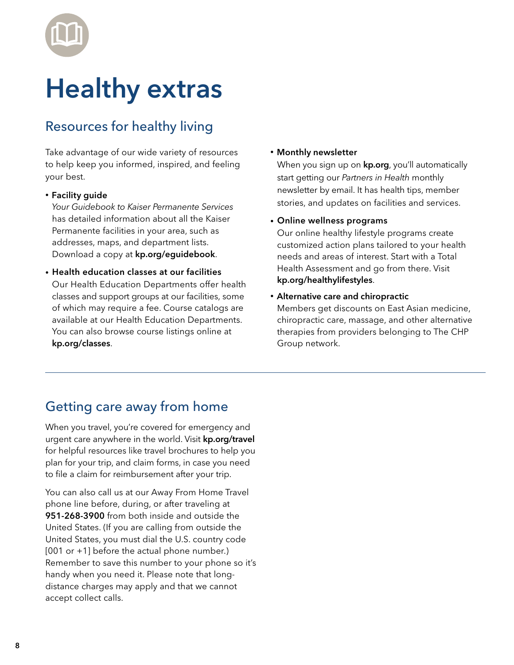

## Healthy extras

## Resources for healthy living

Take advantage of our wide variety of resources to help keep you informed, inspired, and feeling your best.

• Facility guide

 *Your Guidebook to Kaiser Permanente Services*  has detailed information about all the Kaiser Permanente facilities in your area, such as addresses, maps, and department lists. Download a copy at kp.org/eguidebook.

• Health education classes at our facilities Our Health Education Departments offer health classes and support groups at our facilities, some of which may require a fee. Course catalogs are available at our Health Education Departments. You can also browse course listings online at kp.org/classes.

#### • Monthly newsletter

When you sign up on **kp.org**, you'll automatically start getting our *Partners in Health* monthly newsletter by email. It has health tips, member stories, and updates on facilities and services.

• Online wellness programs

 Our online healthy lifestyle programs create customized action plans tailored to your health needs and areas of interest. Start with a Total Health Assessment and go from there. Visit kp.org/healthylifestyles.

• Alternative care and chiropractic

Members get discounts on East Asian medicine, chiropractic care, massage, and other alternative therapies from providers belonging to The CHP Group network.

## Getting care away from home

When you travel, you're covered for emergency and urgent care anywhere in the world. Visit kp.org/travel for helpful resources like travel brochures to help you plan for your trip, and claim forms, in case you need to file a claim for reimbursement after your trip.

You can also call us at our Away From Home Travel phone line before, during, or after traveling at 951-268-3900 from both inside and outside the United States. (If you are calling from outside the United States, you must dial the U.S. country code [001 or +1] before the actual phone number.) Remember to save this number to your phone so it's handy when you need it. Please note that longdistance charges may apply and that we cannot accept collect calls.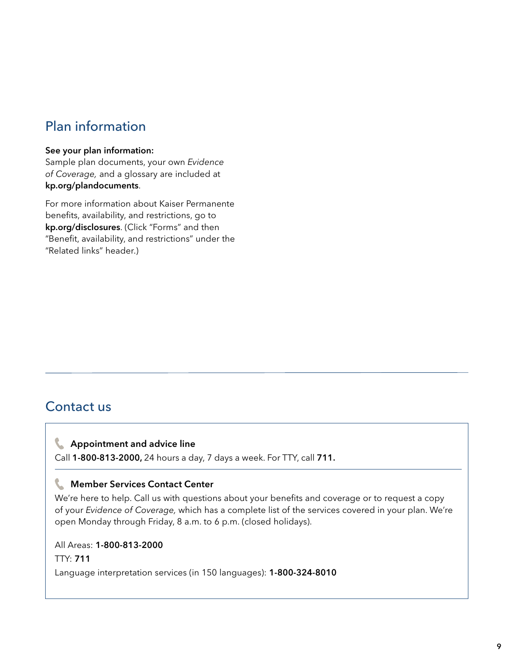## Plan information

#### See your plan information:

Sample plan documents, your own *Evidence of Coverage,* and a glossary are included at kp.org/plandocuments.

For more information about Kaiser Permanente benefits, availability, and restrictions, go to kp.org/disclosures. (Click "Forms" and then "Benefit, availability, and restrictions" under the "Related links" header.)

## Contact us

#### **Appointment and advice line**

Call 1-800-813-2000, 24 hours a day, 7 days a week. For TTY, call 711.

#### **Member Services Contact Center**

We're here to help. Call us with questions about your benefits and coverage or to request a copy of your *Evidence of Coverage,* which has a complete list of the services covered in your plan. We're open Monday through Friday, 8 a.m. to 6 p.m. (closed holidays).

All Areas: 1-800-813-2000 TTY: 711 Language interpretation services (in 150 languages): 1-800-324-8010